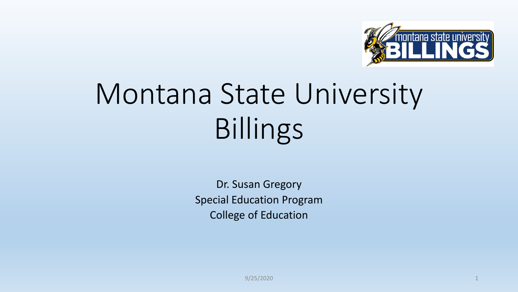

## Montana State University Billings

Dr. Susan Gregory Special Education Program College of Education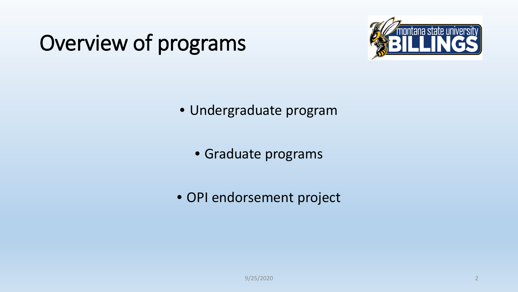### Overview of programs



- Undergraduate program
	- Graduate programs
- OPI endorsement project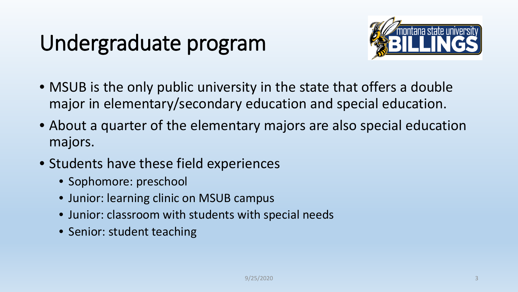#### Undergraduate program



- MSUB is the only public university in the state that offers a double major in elementary/secondary education and special education.
- About a quarter of the elementary majors are also special education majors.
- Students have these field experiences
	- Sophomore: preschool
	- Junior: learning clinic on MSUB campus
	- Junior: classroom with students with special needs
	- Senior: student teaching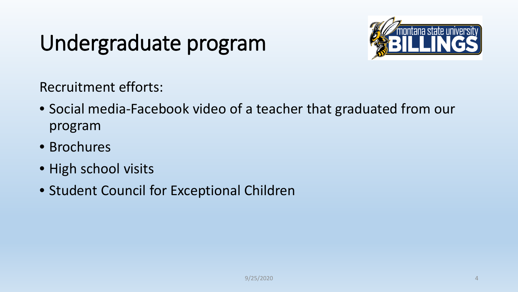#### Undergraduate program



Recruitment efforts:

- Social media-Facebook video of a teacher that graduated from our program
- Brochures
- High school visits
- Student Council for Exceptional Children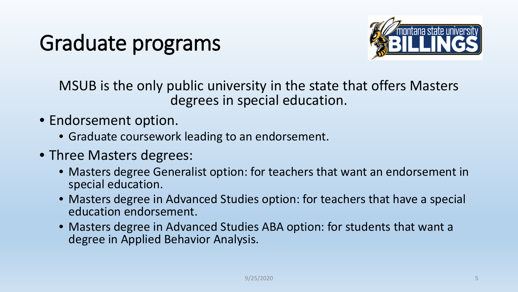### Graduate programs



MSUB is the only public university in the state that offers Masters degrees in special education.

- Endorsement option.
	- Graduate coursework leading to an endorsement.
- Three Masters degrees:
	- Masters degree Generalist option: for teachers that want an endorsement in special education.
	- Masters degree in Advanced Studies option: for teachers that have a special education endorsement.
	- Masters degree in Advanced Studies ABA option: for students that want a degree in Applied Behavior Analysis.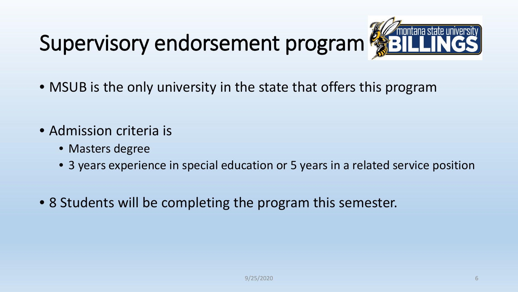# Supervisory endorsement program Supervisory endorsement program



- MSUB is the only university in the state that offers this program
- Admission criteria is
	- Masters degree
	- 3 years experience in special education or 5 years in a related service position
- 8 Students will be completing the program this semester.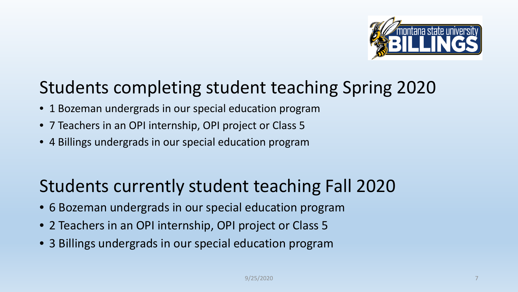

#### Students completing student teaching Spring 2020

- 1 Bozeman undergrads in our special education program
- 7 Teachers in an OPI internship, OPI project or Class 5
- 4 Billings undergrads in our special education program

#### Students currently student teaching Fall 2020

- 6 Bozeman undergrads in our special education program
- 2 Teachers in an OPI internship, OPI project or Class 5
- 3 Billings undergrads in our special education program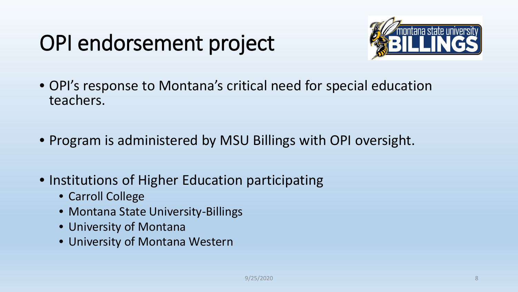### OPI endorsement project



- OPI's response to Montana's critical need for special education teachers.
- Program is administered by MSU Billings with OPI oversight.
- Institutions of Higher Education participating
	- Carroll College
	- Montana State University-Billings
	- University of Montana
	- University of Montana Western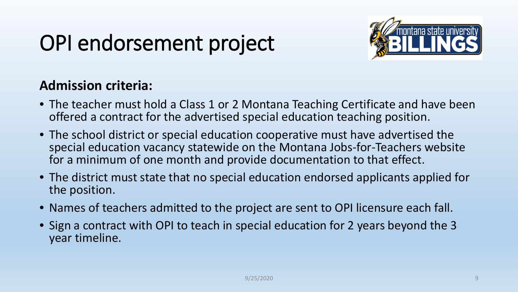### OPI endorsement project



#### **Admission criteria:**

- The teacher must hold a Class 1 or 2 Montana Teaching Certificate and have been offered a contract for the advertised special education teaching position.
- The school district or special education cooperative must have advertised the special education vacancy statewide on the Montana Jobs-for-Teachers website for a minimum of one month and provide documentation to that effect.
- The district must state that no special education endorsed applicants applied for the position.
- Names of teachers admitted to the project are sent to OPI licensure each fall.
- Sign a contract with OPI to teach in special education for 2 years beyond the 3 year timeline.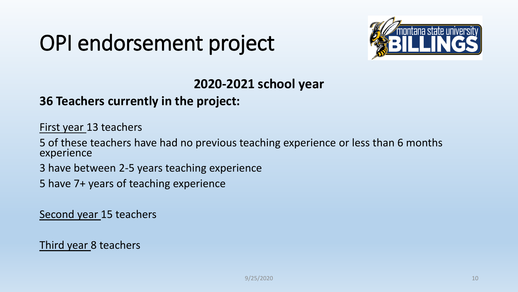#### OPI endorsement project



#### **2020-2021 school year**

#### **36 Teachers currently in the project:**

First year 13 teachers

5 of these teachers have had no previous teaching experience or less than 6 months experience

3 have between 2-5 years teaching experience

5 have 7+ years of teaching experience

Second year 15 teachers

Third year 8 teachers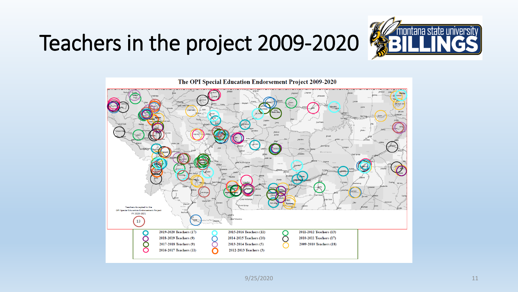### Teachers in the project 2009-2020





 $9/25/2020$  and  $11$